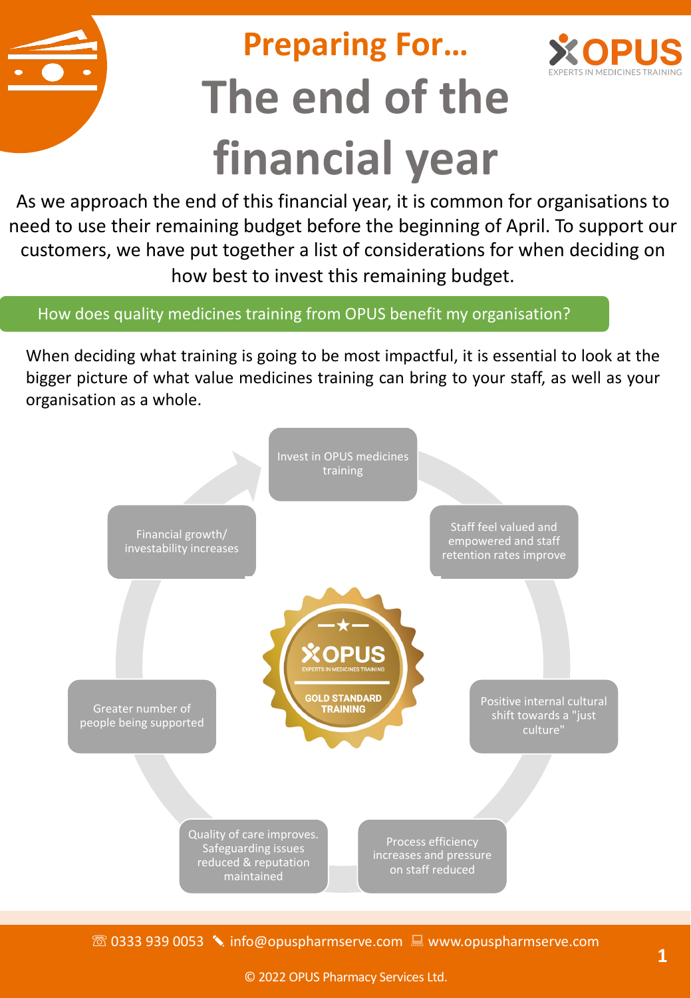# **Preparing For… The end of the financial year**



As we approach the end of this financial year, it is common for organisations to need to use their remaining budget before the beginning of April. To support our customers, we have put together a list of considerations for when deciding on how best to invest this remaining budget.

How does quality medicines training from OPUS benefit my organisation?

When deciding what training is going to be most impactful, it is essential to look at the bigger picture of what value medicines training can bring to your staff, as well as your organisation as a whole.



☏ 0333 939 0053 ✎ info@opuspharmserve.com : www.opuspharmserve.com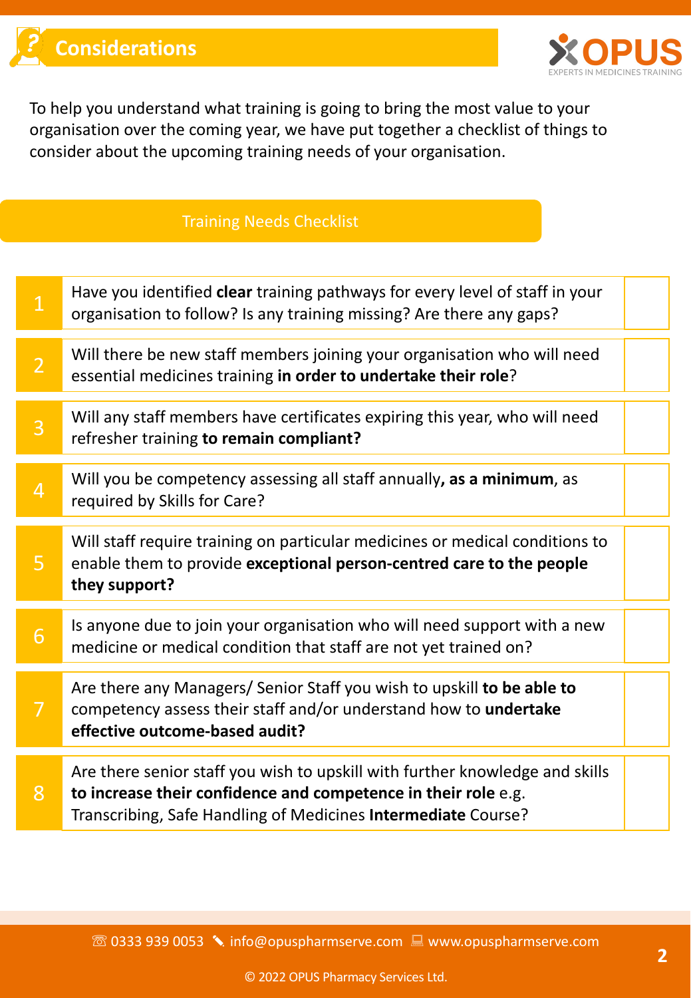

To help you understand what training is going to bring the most value to your organisation over the coming year, we have put together a checklist of things to consider about the upcoming training needs of your organisation.

#### Training Needs Checklist

| $\mathbf{1}$     | Have you identified clear training pathways for every level of staff in your<br>organisation to follow? Is any training missing? Are there any gaps?                                                            |  |
|------------------|-----------------------------------------------------------------------------------------------------------------------------------------------------------------------------------------------------------------|--|
| $\overline{2}$   | Will there be new staff members joining your organisation who will need<br>essential medicines training in order to undertake their role?                                                                       |  |
| 3                | Will any staff members have certificates expiring this year, who will need<br>refresher training to remain compliant?                                                                                           |  |
| $\overline{4}$   | Will you be competency assessing all staff annually, as a minimum, as<br>required by Skills for Care?                                                                                                           |  |
| 5                | Will staff require training on particular medicines or medical conditions to<br>enable them to provide exceptional person-centred care to the people<br>they support?                                           |  |
| $6 \overline{6}$ | Is anyone due to join your organisation who will need support with a new<br>medicine or medical condition that staff are not yet trained on?                                                                    |  |
| $\overline{7}$   | Are there any Managers/ Senior Staff you wish to upskill to be able to<br>competency assess their staff and/or understand how to undertake<br>effective outcome-based audit?                                    |  |
| 8                | Are there senior staff you wish to upskill with further knowledge and skills<br>to increase their confidence and competence in their role e.g.<br>Transcribing, Safe Handling of Medicines Intermediate Course? |  |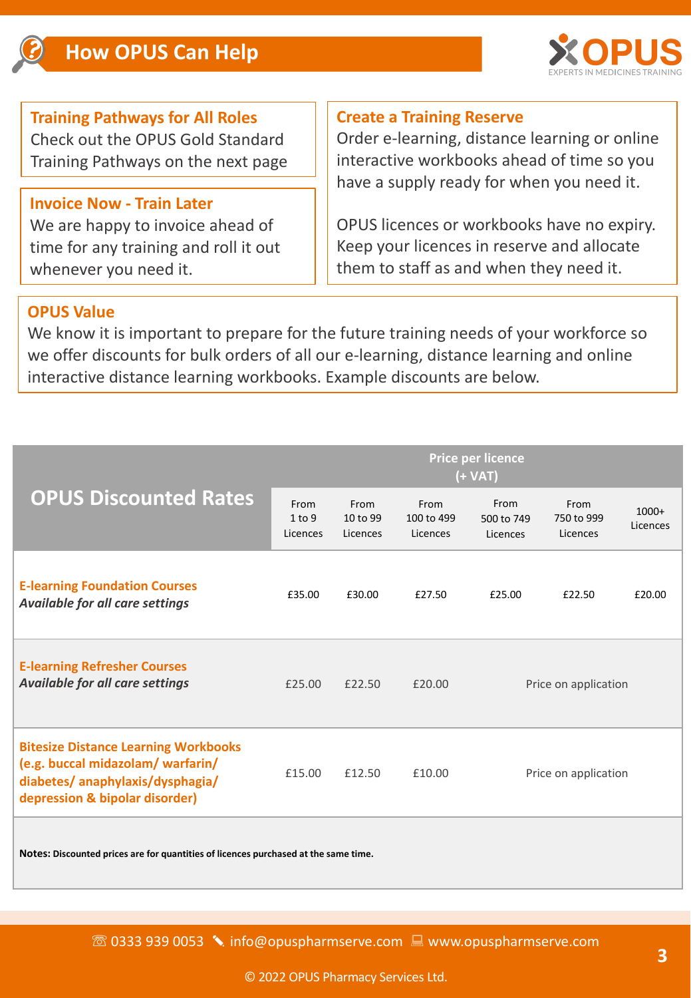

## **Training Pathways for All Roles** Check out the OPUS Gold Standard

Training Pathways on the next page

## **Invoice Now - Train Later**

We are happy to invoice ahead of time for any training and roll it out whenever you need it.

## **Create a Training Reserve**

Order e-learning, distance learning or online interactive workbooks ahead of time so you have a supply ready for when you need it.

OPUS licences or workbooks have no expiry. Keep your licences in reserve and allocate them to staff as and when they need it.

#### **OPUS Value**

We know it is important to prepare for the future training needs of your workforce so we offer discounts for bulk orders of all our e-learning, distance learning and online interactive distance learning workbooks. Example discounts are below.

|                                                                                                                                                       | Price per licence<br>(+ VAT) |                              |                                |                                |                                |                     |
|-------------------------------------------------------------------------------------------------------------------------------------------------------|------------------------------|------------------------------|--------------------------------|--------------------------------|--------------------------------|---------------------|
| <b>OPUS Discounted Rates</b>                                                                                                                          | From<br>1 to 9<br>Licences   | From<br>10 to 99<br>Licences | From<br>100 to 499<br>Licences | From<br>500 to 749<br>Licences | From<br>750 to 999<br>Licences | $1000+$<br>Licences |
| <b>E-learning Foundation Courses</b><br>Available for all care settings                                                                               | £35.00                       | £30.00                       | £27.50                         | £25.00                         | £22.50                         | £20.00              |
| <b>E-learning Refresher Courses</b><br><b>Available for all care settings</b>                                                                         | £25.00                       | £22.50                       | £20.00                         | Price on application           |                                |                     |
| <b>Bitesize Distance Learning Workbooks</b><br>(e.g. buccal midazolam/ warfarin/<br>diabetes/anaphylaxis/dysphagia/<br>depression & bipolar disorder) | £15.00                       | £12.50                       | £10.00                         | Price on application           |                                |                     |
|                                                                                                                                                       |                              |                              |                                |                                |                                |                     |

**Notes: Discounted prices are for quantities of licences purchased at the same time.**

☏ 0333 939 0053 ✎ info@opuspharmserve.com : www.opuspharmserve.com